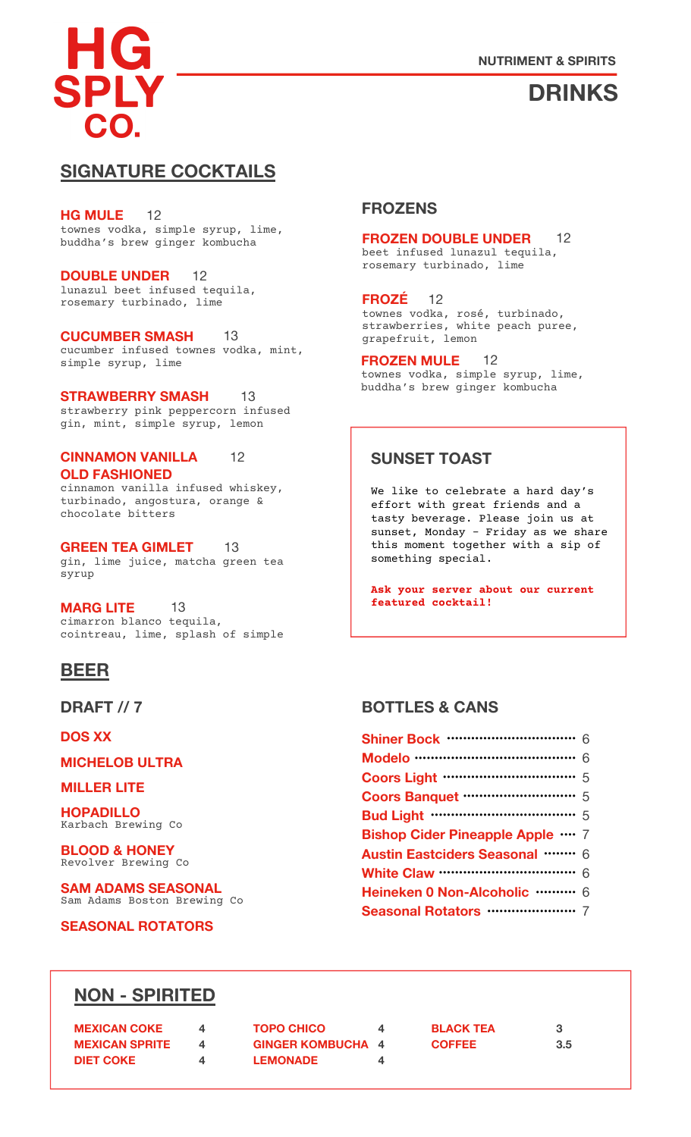# **DRINKS**

### **SIGNATURE COCKTAILS**

townes vodka, simple syrup, lime, buddha's brew ginger kombucha **HG MULE** 12

lunazul beet infused tequila, rosemary turbinado, lime **DOUBLE UNDER** 12

cucumber infused townes vodka, mint, simple syrup, lime **CUCUMBER SMASH** 13

strawberry pink peppercorn infused gin, mint, simple syrup, lemon **STRAWBERRY SMASH** 13

cinnamon vanilla infused whiskey, **CINNAMON VANILLA OLD FASHIONED** 12

turbinado, angostura, orange & chocolate bitters

gin, lime juice, matcha green tea something special. syrup **GREEN TEA GIMLET** 13

cimarron blanco tequila, cointreau, lime, splash of simple **MARG LITE** 13

## **BEER**

**DRAFT // 7**

**DOS XX**

**MICHELOB ULTRA**

#### **MILLER LITE**

Karbach Brewing Co **HOPADILLO**

Revolver Brewing Co **BLOOD & HONEY**

Sam Adams Boston Brewing Co **SAM ADAMS SEASONAL**

**SEASONAL ROTATORS**

#### **FROZENS**

#### **FROZEN DOUBLE UNDER** 12

beet infused lunazul tequila, rosemary turbinado, lime

townes vodka, rosé, turbinado, strawberries, white peach puree, grapefruit, lemon **FROZÉ** 12

townes vodka, simple syrup, lime, buddha's brew ginger kombucha **FROZEN MULE** 12

### **SUNSET TOAST**

We like to celebrate a hard day's effort with great friends and a tasty beverage. Please join us at sunset, Monday – Friday as we share this moment together with a sip of

**Ask your server about our current featured cocktail!**

### **BOTTLES & CANS**

| <b>Coors Light …………………………</b> 5                        |  |
|--------------------------------------------------------|--|
|                                                        |  |
| <b>Bud Light ···································</b> 5 |  |
| <b>Bishop Cider Pineapple Apple </b> 7                 |  |
| <b>Austin Eastciders Seasonal </b> 6                   |  |
| <b>White Claw ……………………………</b> 6                        |  |
| Heineken 0 Non-Alcoholic ……… 6                         |  |
|                                                        |  |
|                                                        |  |

## **NON - SPIRITED**

| <b>MEXICAN COKE</b>   | <b>TOPO CHICO</b>        | <b>BLACK TEA</b> |     |
|-----------------------|--------------------------|------------------|-----|
| <b>MEXICAN SPRITE</b> | <b>GINGER KOMBUCHA 4</b> | <b>COFFEE</b>    | 3.5 |
| <b>DIET COKE</b>      | <b>LEMONADE</b>          |                  |     |